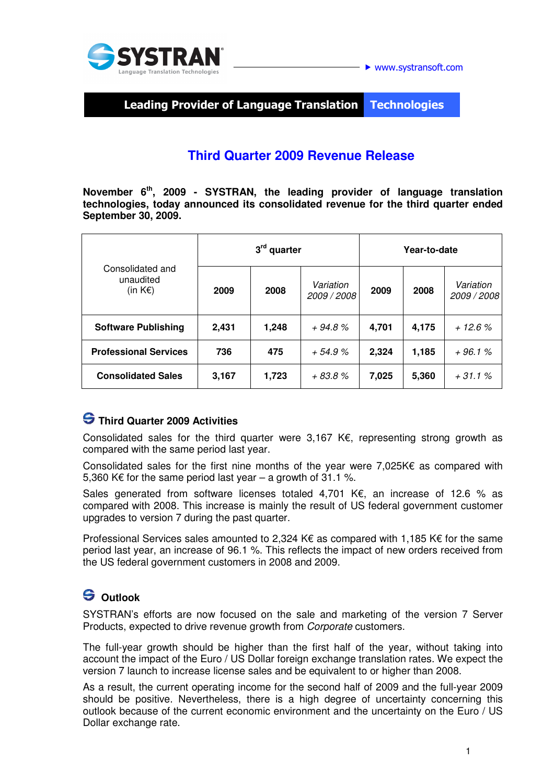

Leading Provider of Language Translation **Technologies** 

## **Third Quarter 2009 Revenue Release**

**November 6th, 2009 - SYSTRAN, the leading provider of language translation technologies, today announced its consolidated revenue for the third quarter ended September 30, 2009.** 

| Consolidated and<br>unaudited<br>(in $K \in \mathbb{R}$ ) | 3 <sup>rd</sup> quarter |       |                          | Year-to-date |       |                          |
|-----------------------------------------------------------|-------------------------|-------|--------------------------|--------------|-------|--------------------------|
|                                                           | 2009                    | 2008  | Variation<br>2009 / 2008 | 2009         | 2008  | Variation<br>2009 / 2008 |
| <b>Software Publishing</b>                                | 2,431                   | 1,248 | $+94.8%$                 | 4,701        | 4,175 | $+12.6%$                 |
| <b>Professional Services</b>                              | 736                     | 475   | $+54.9%$                 | 2,324        | 1,185 | $+96.1%$                 |
| <b>Consolidated Sales</b>                                 | 3,167                   | 1,723 | $+83.8%$                 | 7,025        | 5,360 | $+31.1%$                 |

### **Third Quarter 2009 Activities**

Consolidated sales for the third quarter were 3,167 K€, representing strong growth as compared with the same period last year.

Consolidated sales for the first nine months of the year were 7,025K€ as compared with 5,360 K€ for the same period last year – a growth of  $31.1$  %.

Sales generated from software licenses totaled 4,701 K€, an increase of 12.6 % as compared with 2008. This increase is mainly the result of US federal government customer upgrades to version 7 during the past quarter.

Professional Services sales amounted to 2,324 K $\epsilon$  as compared with 1,185 K $\epsilon$  for the same period last year, an increase of 96.1 %. This reflects the impact of new orders received from the US federal government customers in 2008 and 2009.

# **Outlook**

SYSTRAN's efforts are now focused on the sale and marketing of the version 7 Server Products, expected to drive revenue growth from Corporate customers.

The full-year growth should be higher than the first half of the year, without taking into account the impact of the Euro / US Dollar foreign exchange translation rates. We expect the version 7 launch to increase license sales and be equivalent to or higher than 2008.

As a result, the current operating income for the second half of 2009 and the full-year 2009 should be positive. Nevertheless, there is a high degree of uncertainty concerning this outlook because of the current economic environment and the uncertainty on the Euro / US Dollar exchange rate.